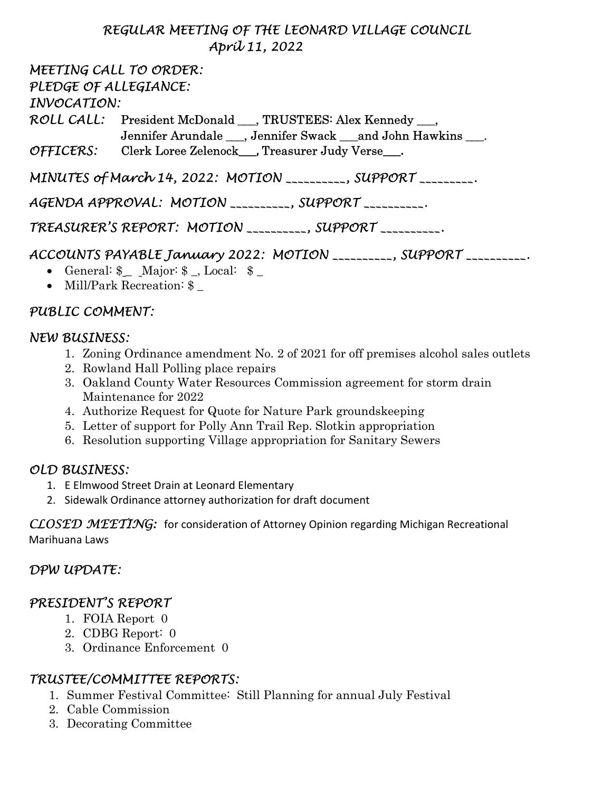### REGULAR MEETING OF THE LEONARD VILLAGE COUNCIL April 11, 2022

MEETING CALL TO ORDER: PLEDGE OF ALLEGIANCE: INVOCATION: ROLL CALL: President McDonald \_\_\_, TRUSTEES: Alex Kennedy \_\_\_, Jennifer Arundale \_\_\_, Jennifer Swack \_\_\_and John Hawkins \_\_\_. OFFICERS: Clerk Loree Zelenock\_\_\_\_, Treasurer Judy Verse\_\_\_\_. MINUTES of March 14, 2022: MOTION \_\_\_\_\_\_\_\_\_, SUPPORT \_\_\_\_\_\_\_\_.

AGENDA APPROVAL: MOTION \_\_\_\_\_\_\_\_\_\_, SUPPORT \_\_\_\_\_\_\_\_\_\_.

TREASURER'S REPORT: MOTION \_\_\_\_\_\_\_\_\_\_, SUPPORT \_\_\_\_\_\_\_\_\_\_.

# ACCOUNTS PAYABLE January 2022: MOTION \_\_\_\_\_\_\_\_\_\_, SUPPORT \_\_\_\_\_\_\_\_\_\_.

- General: \$ Major: \$, Local: \$
- Mill/Park Recreation:  $\quad$

### PUBLIC COMMENT:

#### NEW BUSINESS:

- 1. Zoning Ordinance amendment No. 2 of 2021 for off premises alcohol sales outlets
- 2. Rowland Hall Polling place repairs
- 3. Oakland County Water Resources Commission agreement for storm drain Maintenance for 2022
- 4. Authorize Request for Quote for Nature Park groundskeeping
- 5. Letter of support for Polly Ann Trail Rep. Slotkin appropriation
- 6. Resolution supporting Village appropriation for Sanitary Sewers

### OLD BUSINESS:

- 1. E Elmwood Street Drain at Leonard Elementary
- 2. Sidewalk Ordinance attorney authorization for draft document

CLOSED MEETING: for consideration of Attorney Opinion regarding Michigan Recreational Marihuana Laws

### DPW UPDATE:

### PRESIDENT'S REPORT

- 1. FOIA Report 0
- 2. CDBG Report: 0
- 3. Ordinance Enforcement 0

### TRUSTEE/COMMITTEE REPORTS:

- 1. Summer Festival Committee: Still Planning for annual July Festival
- 2. Cable Commission
- 3. Decorating Committee